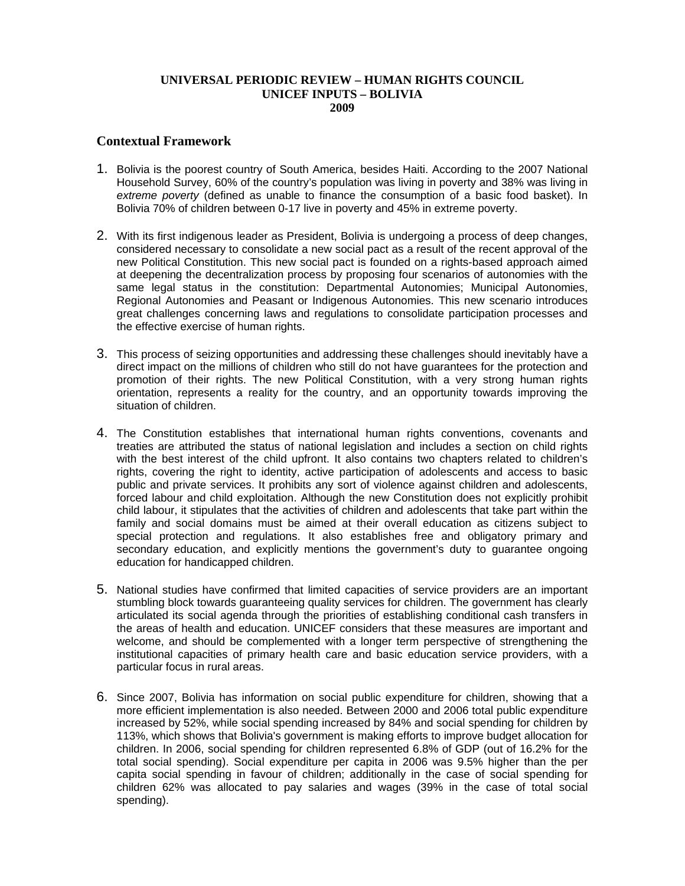## **UNIVERSAL PERIODIC REVIEW – HUMAN RIGHTS COUNCIL UNICEF INPUTS – BOLIVIA 2009**

## **Contextual Framework**

- 1. Bolivia is the poorest country of South America, besides Haiti. According to the 2007 National Household Survey, 60% of the country's population was living in poverty and 38% was living in *extreme poverty* (defined as unable to finance the consumption of a basic food basket). In Bolivia 70% of children between 0-17 live in poverty and 45% in extreme poverty.
- 2. With its first indigenous leader as President, Bolivia is undergoing a process of deep changes, considered necessary to consolidate a new social pact as a result of the recent approval of the new Political Constitution. This new social pact is founded on a rights-based approach aimed at deepening the decentralization process by proposing four scenarios of autonomies with the same legal status in the constitution: Departmental Autonomies; Municipal Autonomies, Regional Autonomies and Peasant or Indigenous Autonomies. This new scenario introduces great challenges concerning laws and regulations to consolidate participation processes and the effective exercise of human rights.
- 3. This process of seizing opportunities and addressing these challenges should inevitably have a direct impact on the millions of children who still do not have guarantees for the protection and promotion of their rights. The new Political Constitution, with a very strong human rights orientation, represents a reality for the country, and an opportunity towards improving the situation of children.
- 4. The Constitution establishes that international human rights conventions, covenants and treaties are attributed the status of national legislation and includes a section on child rights with the best interest of the child upfront. It also contains two chapters related to children's rights, covering the right to identity, active participation of adolescents and access to basic public and private services. It prohibits any sort of violence against children and adolescents, forced labour and child exploitation. Although the new Constitution does not explicitly prohibit child labour, it stipulates that the activities of children and adolescents that take part within the family and social domains must be aimed at their overall education as citizens subject to special protection and regulations. It also establishes free and obligatory primary and secondary education, and explicitly mentions the government's duty to quarantee ongoing education for handicapped children.
- 5. National studies have confirmed that limited capacities of service providers are an important stumbling block towards guaranteeing quality services for children. The government has clearly articulated its social agenda through the priorities of establishing conditional cash transfers in the areas of health and education. UNICEF considers that these measures are important and welcome, and should be complemented with a longer term perspective of strengthening the institutional capacities of primary health care and basic education service providers, with a particular focus in rural areas.
- 6. Since 2007, Bolivia has information on social public expenditure for children, showing that a more efficient implementation is also needed. Between 2000 and 2006 total public expenditure increased by 52%, while social spending increased by 84% and social spending for children by 113%, which shows that Bolivia's government is making efforts to improve budget allocation for children. In 2006, social spending for children represented 6.8% of GDP (out of 16.2% for the total social spending). Social expenditure per capita in 2006 was 9.5% higher than the per capita social spending in favour of children; additionally in the case of social spending for children 62% was allocated to pay salaries and wages (39% in the case of total social spending).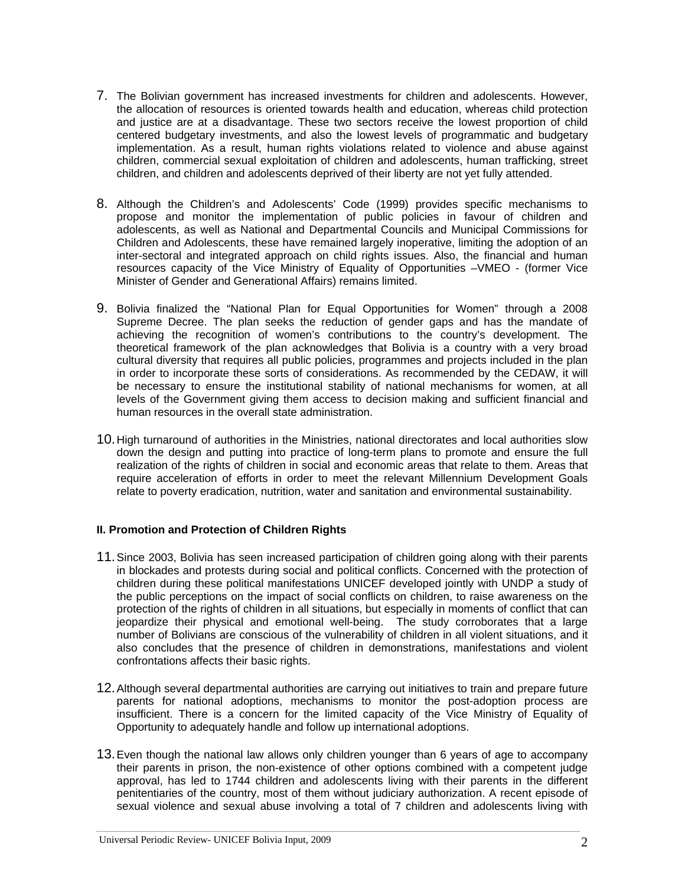- 7. The Bolivian government has increased investments for children and adolescents. However, the allocation of resources is oriented towards health and education, whereas child protection and justice are at a disadvantage. These two sectors receive the lowest proportion of child centered budgetary investments, and also the lowest levels of programmatic and budgetary implementation. As a result, human rights violations related to violence and abuse against children, commercial sexual exploitation of children and adolescents, human trafficking, street children, and children and adolescents deprived of their liberty are not yet fully attended.
- 8. Although the Children's and Adolescents' Code (1999) provides specific mechanisms to propose and monitor the implementation of public policies in favour of children and adolescents, as well as National and Departmental Councils and Municipal Commissions for Children and Adolescents, these have remained largely inoperative, limiting the adoption of an inter-sectoral and integrated approach on child rights issues. Also, the financial and human resources capacity of the Vice Ministry of Equality of Opportunities –VMEO - (former Vice Minister of Gender and Generational Affairs) remains limited.
- 9. Bolivia finalized the "National Plan for Equal Opportunities for Women" through a 2008 Supreme Decree. The plan seeks the reduction of gender gaps and has the mandate of achieving the recognition of women's contributions to the country's development. The theoretical framework of the plan acknowledges that Bolivia is a country with a very broad cultural diversity that requires all public policies, programmes and projects included in the plan in order to incorporate these sorts of considerations. As recommended by the CEDAW, it will be necessary to ensure the institutional stability of national mechanisms for women, at all levels of the Government giving them access to decision making and sufficient financial and human resources in the overall state administration.
- 10. High turnaround of authorities in the Ministries, national directorates and local authorities slow down the design and putting into practice of long-term plans to promote and ensure the full realization of the rights of children in social and economic areas that relate to them. Areas that require acceleration of efforts in order to meet the relevant Millennium Development Goals relate to poverty eradication, nutrition, water and sanitation and environmental sustainability.

# **II. Promotion and Protection of Children Rights**

- 11. Since 2003, Bolivia has seen increased participation of children going along with their parents in blockades and protests during social and political conflicts. Concerned with the protection of children during these political manifestations UNICEF developed jointly with UNDP a study of the public perceptions on the impact of social conflicts on children, to raise awareness on the protection of the rights of children in all situations, but especially in moments of conflict that can jeopardize their physical and emotional well-being. The study corroborates that a large number of Bolivians are conscious of the vulnerability of children in all violent situations, and it also concludes that the presence of children in demonstrations, manifestations and violent confrontations affects their basic rights.
- 12. Although several departmental authorities are carrying out initiatives to train and prepare future parents for national adoptions, mechanisms to monitor the post-adoption process are insufficient. There is a concern for the limited capacity of the Vice Ministry of Equality of Opportunity to adequately handle and follow up international adoptions.
- 13. Even though the national law allows only children younger than 6 years of age to accompany their parents in prison, the non-existence of other options combined with a competent judge approval, has led to 1744 children and adolescents living with their parents in the different penitentiaries of the country, most of them without judiciary authorization. A recent episode of sexual violence and sexual abuse involving a total of 7 children and adolescents living with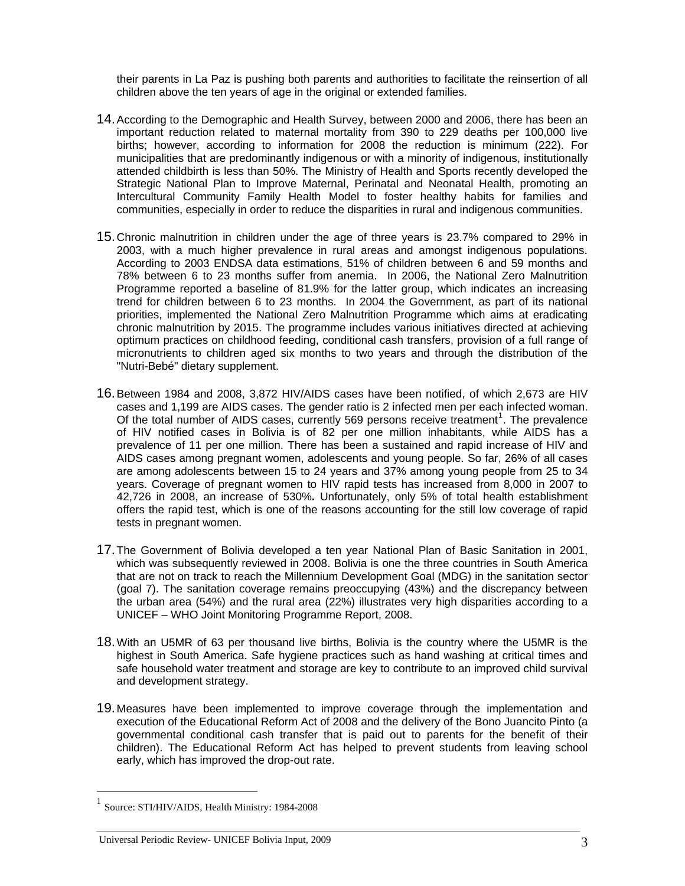their parents in La Paz is pushing both parents and authorities to facilitate the reinsertion of all children above the ten years of age in the original or extended families.

- 14. According to the Demographic and Health Survey, between 2000 and 2006, there has been an important reduction related to maternal mortality from 390 to 229 deaths per 100,000 live births; however, according to information for 2008 the reduction is minimum (222). For municipalities that are predominantly indigenous or with a minority of indigenous, institutionally attended childbirth is less than 50%. The Ministry of Health and Sports recently developed the Strategic National Plan to Improve Maternal, Perinatal and Neonatal Health, promoting an Intercultural Community Family Health Model to foster healthy habits for families and communities, especially in order to reduce the disparities in rural and indigenous communities.
- 15. Chronic malnutrition in children under the age of three years is 23.7% compared to 29% in 2003, with a much higher prevalence in rural areas and amongst indigenous populations. According to 2003 ENDSA data estimations, 51% of children between 6 and 59 months and 78% between 6 to 23 months suffer from anemia. In 2006, the National Zero Malnutrition Programme reported a baseline of 81.9% for the latter group, which indicates an increasing trend for children between 6 to 23 months. In 2004 the Government, as part of its national priorities, implemented the National Zero Malnutrition Programme which aims at eradicating chronic malnutrition by 2015. The programme includes various initiatives directed at achieving optimum practices on childhood feeding, conditional cash transfers, provision of a full range of micronutrients to children aged six months to two years and through the distribution of the "Nutri-Bebé" dietary supplement.
- 16. Between 1984 and 2008, 3,872 HIV/AIDS cases have been notified, of which 2,673 are HIV cases and 1,199 are AIDS cases. The gender ratio is 2 infected men per each infected woman. Of the total number of AIDS cases, currently 569 persons receive treatment<sup>[1](#page-2-0)</sup>. The prevalence of HIV notified cases in Bolivia is of 82 per one million inhabitants, while AIDS has a prevalence of 11 per one million. There has been a sustained and rapid increase of HIV and AIDS cases among pregnant women, adolescents and young people. So far, 26% of all cases are among adolescents between 15 to 24 years and 37% among young people from 25 to 34 years. Coverage of pregnant women to HIV rapid tests has increased from 8,000 in 2007 to 42,726 in 2008, an increase of 530%**.** Unfortunately, only 5% of total health establishment offers the rapid test, which is one of the reasons accounting for the still low coverage of rapid tests in pregnant women.
- 17. The Government of Bolivia developed a ten year National Plan of Basic Sanitation in 2001, which was subsequently reviewed in 2008. Bolivia is one the three countries in South America that are not on track to reach the Millennium Development Goal (MDG) in the sanitation sector (goal 7). The sanitation coverage remains preoccupying (43%) and the discrepancy between the urban area (54%) and the rural area (22%) illustrates very high disparities according to a UNICEF – WHO Joint Monitoring Programme Report, 2008.
- 18. With an U5MR of 63 per thousand live births, Bolivia is the country where the U5MR is the highest in South America. Safe hygiene practices such as hand washing at critical times and safe household water treatment and storage are key to contribute to an improved child survival and development strategy.
- 19. Measures have been implemented to improve coverage through the implementation and execution of the Educational Reform Act of 2008 and the delivery of the Bono Juancito Pinto (a governmental conditional cash transfer that is paid out to parents for the benefit of their children). The Educational Reform Act has helped to prevent students from leaving school early, which has improved the drop-out rate.

 $\overline{a}$ 

#### Universal Periodic Review- UNICEF Bolivia Input, 2009 3

<span id="page-2-0"></span><sup>1</sup> Source: STI/HIV/AIDS, Health Ministry: 1984-2008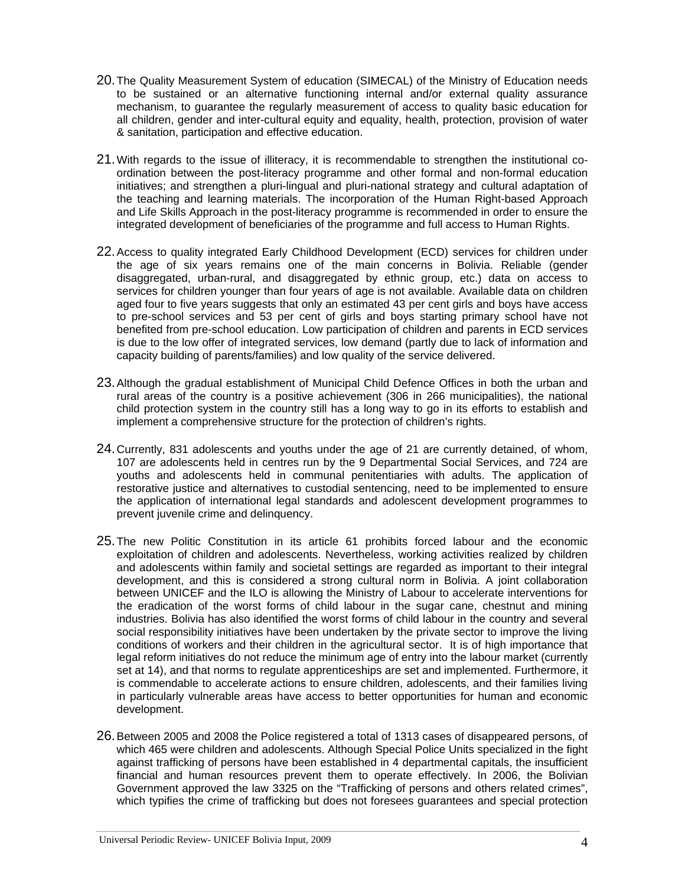- 20. The Quality Measurement System of education (SIMECAL) of the Ministry of Education needs to be sustained or an alternative functioning internal and/or external quality assurance mechanism, to guarantee the regularly measurement of access to quality basic education for all children, gender and inter-cultural equity and equality, health, protection, provision of water & sanitation, participation and effective education.
- 21. With regards to the issue of illiteracy, it is recommendable to strengthen the institutional coordination between the post-literacy programme and other formal and non-formal education initiatives; and strengthen a pluri-lingual and pluri-national strategy and cultural adaptation of the teaching and learning materials. The incorporation of the Human Right-based Approach and Life Skills Approach in the post-literacy programme is recommended in order to ensure the integrated development of beneficiaries of the programme and full access to Human Rights.
- 22. Access to quality integrated Early Childhood Development (ECD) services for children under the age of six years remains one of the main concerns in Bolivia. Reliable (gender disaggregated, urban-rural, and disaggregated by ethnic group, etc.) data on access to services for children younger than four years of age is not available. Available data on children aged four to five years suggests that only an estimated 43 per cent girls and boys have access to pre-school services and 53 per cent of girls and boys starting primary school have not benefited from pre-school education. Low participation of children and parents in ECD services is due to the low offer of integrated services, low demand (partly due to lack of information and capacity building of parents/families) and low quality of the service delivered.
- 23. Although the gradual establishment of Municipal Child Defence Offices in both the urban and rural areas of the country is a positive achievement (306 in 266 municipalities), the national child protection system in the country still has a long way to go in its efforts to establish and implement a comprehensive structure for the protection of children's rights.
- 24. Currently, 831 adolescents and youths under the age of 21 are currently detained, of whom, 107 are adolescents held in centres run by the 9 Departmental Social Services, and 724 are youths and adolescents held in communal penitentiaries with adults. The application of restorative justice and alternatives to custodial sentencing, need to be implemented to ensure the application of international legal standards and adolescent development programmes to prevent juvenile crime and delinquency.
- 25. The new Politic Constitution in its article 61 prohibits forced labour and the economic exploitation of children and adolescents. Nevertheless, working activities realized by children and adolescents within family and societal settings are regarded as important to their integral development, and this is considered a strong cultural norm in Bolivia. A joint collaboration between UNICEF and the ILO is allowing the Ministry of Labour to accelerate interventions for the eradication of the worst forms of child labour in the sugar cane, chestnut and mining industries. Bolivia has also identified the worst forms of child labour in the country and several social responsibility initiatives have been undertaken by the private sector to improve the living conditions of workers and their children in the agricultural sector. It is of high importance that legal reform initiatives do not reduce the minimum age of entry into the labour market (currently set at 14), and that norms to regulate apprenticeships are set and implemented. Furthermore, it is commendable to accelerate actions to ensure children, adolescents, and their families living in particularly vulnerable areas have access to better opportunities for human and economic development.
- 26. Between 2005 and 2008 the Police registered a total of 1313 cases of disappeared persons, of which 465 were children and adolescents. Although Special Police Units specialized in the fight against trafficking of persons have been established in 4 departmental capitals, the insufficient financial and human resources prevent them to operate effectively. In 2006, the Bolivian Government approved the law 3325 on the "Trafficking of persons and others related crimes", which typifies the crime of trafficking but does not foresees guarantees and special protection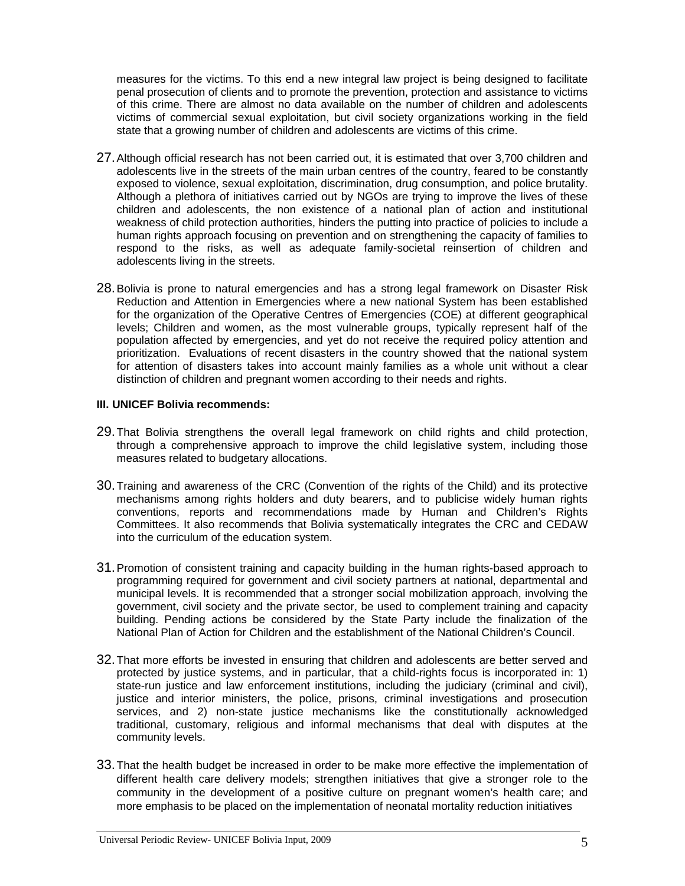measures for the victims. To this end a new integral law project is being designed to facilitate penal prosecution of clients and to promote the prevention, protection and assistance to victims of this crime. There are almost no data available on the number of children and adolescents victims of commercial sexual exploitation, but civil society organizations working in the field state that a growing number of children and adolescents are victims of this crime.

- 27. Although official research has not been carried out, it is estimated that over 3,700 children and adolescents live in the streets of the main urban centres of the country, feared to be constantly exposed to violence, sexual exploitation, discrimination, drug consumption, and police brutality. Although a plethora of initiatives carried out by NGOs are trying to improve the lives of these children and adolescents, the non existence of a national plan of action and institutional weakness of child protection authorities, hinders the putting into practice of policies to include a human rights approach focusing on prevention and on strengthening the capacity of families to respond to the risks, as well as adequate family-societal reinsertion of children and adolescents living in the streets.
- 28. Bolivia is prone to natural emergencies and has a strong legal framework on Disaster Risk Reduction and Attention in Emergencies where a new national System has been established for the organization of the Operative Centres of Emergencies (COE) at different geographical levels; Children and women, as the most vulnerable groups, typically represent half of the population affected by emergencies, and yet do not receive the required policy attention and prioritization. Evaluations of recent disasters in the country showed that the national system for attention of disasters takes into account mainly families as a whole unit without a clear distinction of children and pregnant women according to their needs and rights.

### **III. UNICEF Bolivia recommends:**

- 29. That Bolivia strengthens the overall legal framework on child rights and child protection, through a comprehensive approach to improve the child legislative system, including those measures related to budgetary allocations.
- 30. Training and awareness of the CRC (Convention of the rights of the Child) and its protective mechanisms among rights holders and duty bearers, and to publicise widely human rights conventions, reports and recommendations made by Human and Children's Rights Committees. It also recommends that Bolivia systematically integrates the CRC and CEDAW into the curriculum of the education system.
- 31. Promotion of consistent training and capacity building in the human rights-based approach to programming required for government and civil society partners at national, departmental and municipal levels. It is recommended that a stronger social mobilization approach, involving the government, civil society and the private sector, be used to complement training and capacity building. Pending actions be considered by the State Party include the finalization of the National Plan of Action for Children and the establishment of the National Children's Council.
- 32. That more efforts be invested in ensuring that children and adolescents are better served and protected by justice systems, and in particular, that a child-rights focus is incorporated in: 1) state-run justice and law enforcement institutions, including the judiciary (criminal and civil), justice and interior ministers, the police, prisons, criminal investigations and prosecution services, and 2) non-state justice mechanisms like the constitutionally acknowledged traditional, customary, religious and informal mechanisms that deal with disputes at the community levels.
- 33. That the health budget be increased in order to be make more effective the implementation of different health care delivery models; strengthen initiatives that give a stronger role to the community in the development of a positive culture on pregnant women's health care; and more emphasis to be placed on the implementation of neonatal mortality reduction initiatives